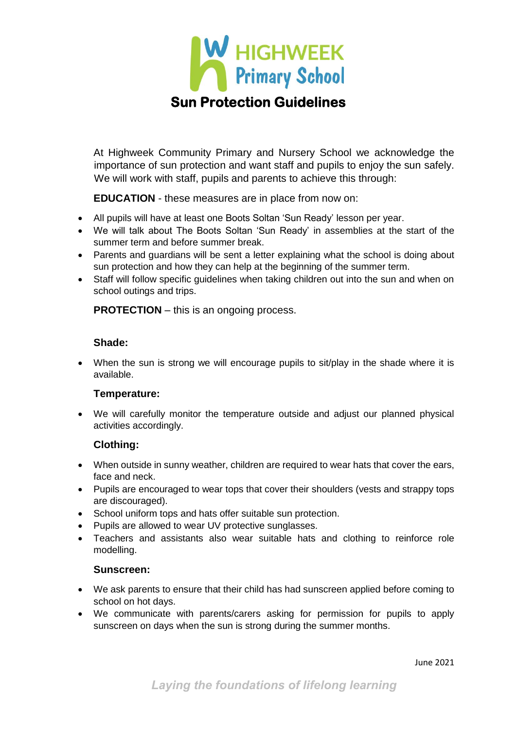

At Highweek Community Primary and Nursery School we acknowledge the importance of sun protection and want staff and pupils to enjoy the sun safely. We will work with staff, pupils and parents to achieve this through:

**EDUCATION** - these measures are in place from now on:

- All pupils will have at least one Boots Soltan 'Sun Ready' lesson per year.
- We will talk about The Boots Soltan 'Sun Ready' in assemblies at the start of the summer term and before summer break.
- Parents and guardians will be sent a letter explaining what the school is doing about sun protection and how they can help at the beginning of the summer term.
- Staff will follow specific guidelines when taking children out into the sun and when on school outings and trips.

**PROTECTION** – this is an ongoing process.

#### **Shade:**

• When the sun is strong we will encourage pupils to sit/play in the shade where it is available.

## **Temperature:**

• We will carefully monitor the temperature outside and adjust our planned physical activities accordingly.

## **Clothing:**

- When outside in sunny weather, children are required to wear hats that cover the ears, face and neck.
- Pupils are encouraged to wear tops that cover their shoulders (vests and strappy tops are discouraged).
- School uniform tops and hats offer suitable sun protection.
- Pupils are allowed to wear UV protective sunglasses.
- Teachers and assistants also wear suitable hats and clothing to reinforce role modelling.

#### **Sunscreen:**

- We ask parents to ensure that their child has had sunscreen applied before coming to school on hot days.
- We communicate with parents/carers asking for permission for pupils to apply sunscreen on days when the sun is strong during the summer months.